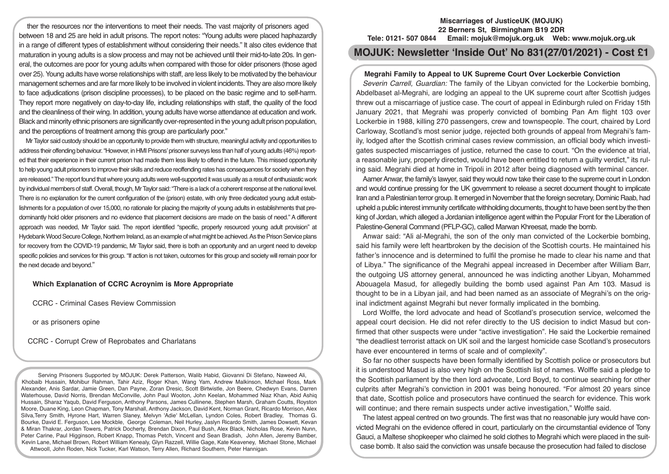ther the resources nor the interventions to meet their needs. The vast majority of prisoners aged between 18 and 25 are held in adult prisons. The report notes: "Young adults were placed haphazardly in a range of different types of establishment without considering their needs." It also cites evidence that maturation in young adults is a slow process and may not be achieved until their mid-to-late 20s. In general, the outcomes are poor for young adults when compared with those for older prisoners (those aged over 25). Young adults have worse relationships with staff, are less likely to be motivated by the behaviour management schemes and are far more likely to be involved in violent incidents. They are also more likely to face adjudications (prison discipline processes), to be placed on the basic regime and to self-harm. They report more negatively on day-to-day life, including relationships with staff, the quality of the food and the cleanliness of their wing. In addition, young adults have worse attendance at education and work. Black and minority ethnic prisoners are significantly over-represented in the young adult prison population, and the perceptions of treatment among this group are particularly poor."

Mr Taylor said custody should be an opportunity to provide them with structure, meaningful activity and opportunities to address their offending behaviour. "However, in HMI Prisons' prisoner surveys less than half of young adults (46%) reported that their experience in their current prison had made them less likely to offend in the future. This missed opportunity to help young adult prisoners to improve their skills and reduce reoffending rates has consequences for society when they are released." The report found that where young adults were well-supported it was usually as a result of enthusiastic work by individual members of staff. Overall, though, Mr Taylor said: "There is a lack of a coherent response at the national level. There is no explanation for the current configuration of the (prison) estate, with only three dedicated young adult establishments for a population of over 15,000, no rationale for placing the majority of young adults in establishments that predominantly hold older prisoners and no evidence that placement decisions are made on the basis of need." A different approach was needed, Mr Taylor said. The report identified "specific, properly resourced young adult provision" at Hydebank Wood Secure College, Northern Ireland, as an example of what might be achieved. As the Prison Service plans for recovery from the COVID-19 pandemic, Mr Taylor said, there is both an opportunity and an urgent need to develop specific policies and services for this group. "If action is not taken, outcomes for this group and society will remain poor for the next decade and beyond."

#### **Which Explanation of CCRC Acroynim is More Appropriate**

CCRC - Criminal Cases Review Commission

or as prisoners opine

CCRC - Corrupt Crew of Reprobates and Charlatans

Serving Prisoners Supported by MOJUK: Derek Patterson, Walib Habid, Giovanni Di Stefano, Naweed Ali, Khobaib Hussain, Mohibur Rahman, Tahir Aziz, Roger Khan, Wang Yam, Andrew Malkinson, Michael Ross, Mark Alexander, Anis Sardar, Jamie Green, Dan Payne, Zoran Dresic, Scott Birtwistle, Jon Beere, Chedwyn Evans, Darren Waterhouse, David Norris, Brendan McConville, John Paul Wooton, John Keelan, Mohammed Niaz Khan, Abid Ashiq Hussain, Sharaz Yaqub, David Ferguson, Anthony Parsons, James Cullinene, Stephen Marsh, Graham Coutts, Royston Moore, Duane King, Leon Chapman, Tony Marshall, Anthony Jackson, David Kent, Norman Grant, Ricardo Morrison, Alex Silva,Terry Smith, Hyrone Hart, Warren Slaney, Melvyn 'Adie' McLellan, Lyndon Coles, Robert Bradley, Thomas G. Bourke, David E. Ferguson, Lee Mockble, George Coleman, Neil Hurley, Jaslyn Ricardo Smith, James Dowsett, Kevan & Miran Thakrar, Jordan Towers, Patrick Docherty, Brendan Dixon, Paul Bush, Alex Black, Nicholas Rose, Kevin Nunn, Peter Carine, Paul Higginson, Robert Knapp, Thomas Petch, Vincent and Sean Bradish, John Allen, Jeremy Bamber, Kevin Lane, Michael Brown, Robert William Kenealy, Glyn Razzell, Willie Gage, Kate Keaveney, Michael Stone, Michael Attwooll, John Roden, Nick Tucker, Karl Watson, Terry Allen, Richard Southern, Peter Hannigan.

#### **Miscarriages of JusticeUK (MOJUK) 22 Berners St, Birmingham B19 2DR Tele: 0121- 507 0844 Email: mojuk@mojuk.org.uk Web: www.mojuk.org.uk**

# **MOJUK: Newsletter 'Inside Out' No 831(27/01/2021) - Cost £1**

#### **Megrahi Family to Appeal to UK Supreme Court Over Lockerbie Conviction**

*Severin Carrell, Guardian:* The family of the Libyan convicted for the Lockerbie bombing, Abdelbaset al-Megrahi, are lodging an appeal to the UK supreme court after Scottish judges threw out a miscarriage of justice case. The court of appeal in Edinburgh ruled on Friday 15th January 2021, that Megrahi was properly convicted of bombing Pan Am flight 103 over Lockerbie in 1988, killing 270 passengers, crew and townspeople. The court, chaired by Lord Carloway, Scotland's most senior judge, rejected both grounds of appeal from Megrahi's family, lodged after the Scottish criminal cases review commission, an official body which investigates suspected miscarriages of justice, returned the case to court. "On the evidence at trial, a reasonable jury, properly directed, would have been entitled to return a guilty verdict," its ruling said. Megrahi died at home in Tripoli in 2012 after being diagnosed with terminal cancer.

Aamer Anwar, the family's lawyer, said they would now take their case to the supreme court in London and would continue pressing for the UK government to release a secret document thought to implicate Iran and a Palestinian terror group. It emerged in November that the foreign secretary, Dominic Raab, had upheld a public interest immunity certificate withholding documents, thought to have been sent by the then king of Jordan, which alleged a Jordanian intelligence agent within the Popular Front for the Liberation of Palestine-General Command (PFLP-GC), called Marwan Khreesat, made the bomb.

Anwar said: "Ali al-Megrahi, the son of the only man convicted of the Lockerbie bombing, said his family were left heartbroken by the decision of the Scottish courts. He maintained his father's innocence and is determined to fulfil the promise he made to clear his name and that of Libya." The significance of the Megrahi appeal increased in December after William Barr, the outgoing US attorney general, announced he was indicting another Libyan, Mohammed Abouagela Masud, for allegedly building the bomb used against Pan Am 103. Masud is thought to be in a Libyan jail, and had been named as an associate of Megrahi's on the original indictment against Megrahi but never formally implicated in the bombing.

Lord Wolffe, the lord advocate and head of Scotland's prosecution service, welcomed the appeal court decision. He did not refer directly to the US decision to indict Masud but confirmed that other suspects were under "active investigation". He said the Lockerbie remained "the deadliest terrorist attack on UK soil and the largest homicide case Scotland's prosecutors have ever encountered in terms of scale and of complexity".

So far no other suspects have been formally identified by Scottish police or prosecutors but it is understood Masud is also very high on the Scottish list of names. Wolffe said a pledge to the Scottish parliament by the then lord advocate, Lord Boyd, to continue searching for other culprits after Megrahi's conviction in 2001 was being honoured. "For almost 20 years since that date, Scottish police and prosecutors have continued the search for evidence. This work will continue; and there remain suspects under active investigation," Wolffe said.

The latest appeal centred on two grounds. The first was that no reasonable jury would have convicted Megrahi on the evidence offered in court, particularly on the circumstantial evidence of Tony Gauci, a Maltese shopkeeper who claimed he sold clothes to Megrahi which were placed in the suitcase bomb. It also said the conviction was unsafe because the prosecution had failed to disclose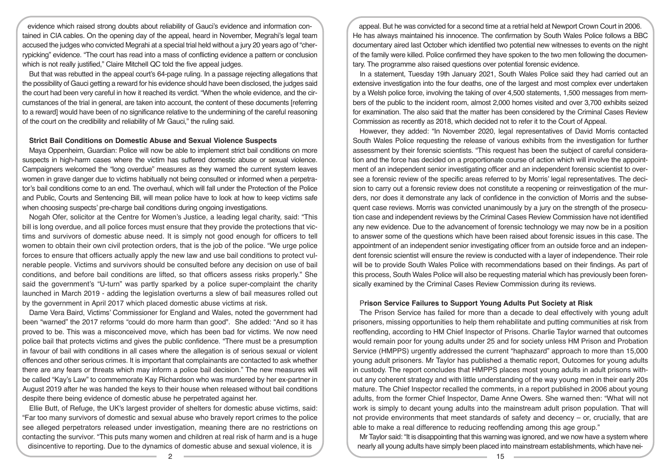evidence which raised strong doubts about reliability of Gauci's evidence and information contained in CIA cables. On the opening day of the appeal, heard in November, Megrahi's legal team accused the judges who convicted Megrahi at a special trial held without a jury 20 years ago of "cherrypicking" evidence. "The court has read into a mass of conflicting evidence a pattern or conclusion which is not really justified," Claire Mitchell QC told the five appeal iudges.

But that was rebutted in the appeal court's 64-page ruling. In a passage rejecting allegations that the possibility of Gauci getting a reward for his evidence should have been disclosed, the judges said the court had been very careful in how it reached its verdict. "When the whole evidence, and the circumstances of the trial in general, are taken into account, the content of these documents [referring to a reward] would have been of no significance relative to the undermining of the careful reasoning of the court on the credibility and reliability of Mr Gauci," the ruling said.

# **Strict Bail Conditions on Domestic Abuse and Sexual Violence Suspects**

Maya Oppenheim, Guardian: Police will now be able to implement strict bail conditions on more suspects in high-harm cases where the victim has suffered domestic abuse or sexual violence. Campaigners welcomed the "long overdue" measures as they warned the current system leaves women in grave danger due to victims habitually not being consulted or informed when a perpetrator's bail conditions come to an end. The overhaul, which will fall under the Protection of the Police and Public, Courts and Sentencing Bill, will mean police have to look at how to keep victims safe when choosing suspects' pre-charge bail conditions during ongoing investigations.

Nogah Ofer, solicitor at the Centre for Women's Justice, a leading legal charity, said: "This bill is long overdue, and all police forces must ensure that they provide the protections that victims and survivors of domestic abuse need. It is simply not good enough for officers to tell women to obtain their own civil protection orders, that is the job of the police. "We urge police forces to ensure that officers actually apply the new law and use bail conditions to protect vulnerable people. Victims and survivors should be consulted before any decision on use of bail conditions, and before bail conditions are lifted, so that officers assess risks properly." She said the government's "U-turn" was partly sparked by a police super-complaint the charity launched in March 2019 - adding the legislation overturns a slew of bail measures rolled out by the government in April 2017 which placed domestic abuse victims at risk.

Dame Vera Baird, Victims' Commissioner for England and Wales, noted the government had been "warned" the 2017 reforms "could do more harm than good". She added: "And so it has proved to be. This was a misconceived move, which has been bad for victims. We now need police bail that protects victims and gives the public confidence. "There must be a presumption in favour of bail with conditions in all cases where the allegation is of serious sexual or violent offences and other serious crimes. It is important that complainants are contacted to ask whether there are any fears or threats which may inform a police bail decision." The new measures will be called "Kay's Law" to commemorate Kay Richardson who was murdered by her ex-partner in August 2019 after he was handed the keys to their house when released without bail conditions despite there being evidence of domestic abuse he perpetrated against her.

Ellie Butt, of Refuge, the UK's largest provider of shelters for domestic abuse victims, said: "Far too many survivors of domestic and sexual abuse who bravely report crimes to the police see alleged perpetrators released under investigation, meaning there are no restrictions on contacting the survivor. "This puts many women and children at real risk of harm and is a huge disincentive to reporting. Due to the dynamics of domestic abuse and sexual violence, it is

appeal. But he was convicted for a second time at a retrial held at Newport Crown Court in 2006. He has always maintained his innocence. The confirmation by South Wales Police follows a BBC documentary aired last October which identified two potential new witnesses to events on the night of the family were killed. Police confirmed they have spoken to the two men following the documentary. The programme also raised questions over potential forensic evidence.

In a statement, Tuesday 19th January 2021, South Wales Police said they had carried out an extensive investigation into the four deaths, one of the largest and most complex ever undertaken by a Welsh police force, involving the taking of over 4,500 statements, 1,500 messages from members of the public to the incident room, almost 2,000 homes visited and over 3,700 exhibits seized for examination. The also said that the matter has been considered by the Criminal Cases Review Commission as recently as 2018, which decided not to refer it to the Court of Appeal.

However, they added: "In November 2020, legal representatives of David Morris contacted South Wales Police requesting the release of various exhibits from the investigation for further assessment by their forensic scientists. "This request has been the subject of careful consideration and the force has decided on a proportionate course of action which will involve the appointment of an independent senior investigating officer and an independent forensic scientist to oversee a forensic review of the specific areas referred to by Morris' legal representatives. The decision to carry out a forensic review does not constitute a reopening or reinvestigation of the murders, nor does it demonstrate any lack of confidence in the conviction of Morris and the subsequent case reviews. Morris was convicted unanimously by a jury on the strength of the prosecution case and independent reviews by the Criminal Cases Review Commission have not identified any new evidence. Due to the advancement of forensic technology we may now be in a position to answer some of the questions which have been raised about forensic issues in this case. The appointment of an independent senior investigating officer from an outside force and an independent forensic scientist will ensure the review is conducted with a layer of independence. Their role will be to provide South Wales Police with recommendations based on their findings. As part of this process, South Wales Police will also be requesting material which has previously been forensically examined by the Criminal Cases Review Commission during its reviews.

# P**rison Service Failures to Support Young Adults Put Society at Risk**

The Prison Service has failed for more than a decade to deal effectively with young adult prisoners, missing opportunities to help them rehabilitate and putting communities at risk from reoffending, according to HM Chief Inspector of Prisons. Charlie Taylor warned that outcomes would remain poor for young adults under 25 and for society unless HM Prison and Probation Service (HMPPS) urgently addressed the current "haphazard" approach to more than 15,000 young adult prisoners. Mr Taylor has published a thematic report, Outcomes for young adults in custody. The report concludes that HMPPS places most young adults in adult prisons without any coherent strategy and with little understanding of the way young men in their early 20s mature. The Chief Inspector recalled the comments, in a report published in 2006 about young adults, from the former Chief Inspector, Dame Anne Owers. She warned then: "What will not work is simply to decant young adults into the mainstream adult prison population. That will not provide environments that meet standards of safety and decency – or, crucially, that are able to make a real difference to reducing reoffending among this age group."

Mr Taylor said: "It is disappointing that this warning was ignored, and we now have a system where nearly all young adults have simply been placed into mainstream establishments, which have nei-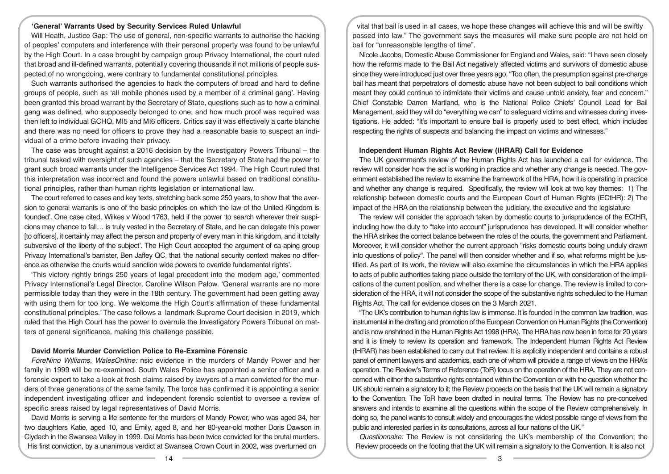# **'General' Warrants Used by Security Services Ruled Unlawful**

Will Heath, Justice Gap: The use of general, non-specific warrants to authorise the hacking of peoples' computers and interference with their personal property was found to be unlawful by the High Court. In a case brought by campaign group Privacy International, the court ruled that broad and ill-defined warrants, potentially covering thousands if not millions of people suspected of no wrongdoing, were contrary to fundamental constitutional principles.

Such warrants authorised the agencies to hack the computers of broad and hard to define groups of people, such as 'all mobile phones used by a member of a criminal gang'. Having been granted this broad warrant by the Secretary of State, questions such as to how a criminal gang was defined, who supposedly belonged to one, and how much proof was required was then left to individual GCHQ, MI5 and MI6 officers. Critics say it was effectively a carte blanche and there was no need for officers to prove they had a reasonable basis to suspect an individual of a crime before invading their privacy.

The case was brought against a 2016 decision by the Investigatory Powers Tribunal – the tribunal tasked with oversight of such agencies – that the Secretary of State had the power to grant such broad warrants under the Intelligence Services Act 1994. The High Court ruled that this interpretation was incorrect and found the powers unlawful based on traditional constitutional principles, rather than human rights legislation or international law.

The court referred to cases and key texts, stretching back some 250 years, to show that 'the aversion to general warrants is one of the basic principles on which the law of the United Kingdom is founded'. One case cited, Wilkes v Wood 1763, held if the power 'to search wherever their suspicions may chance to fall… is truly vested in the Secretary of State, and he can delegate this power [to officers], it certainly may affect the person and property of every man in this kingdom, and it totally subversive of the liberty of the subject'. The High Court accepted the argument of ca aping group Privacy International's barrister, Ben Jaffey QC, that 'the national security context makes no difference as otherwise the courts would sanction wide powers to override fundamental rights'.

'This victory rightly brings 250 years of legal precedent into the modern age,' commented Privacy International's Legal Director, Caroline Wilson Palow. 'General warrants are no more permissible today than they were in the 18th century. The government had been getting away with using them for too long. We welcome the High Court's affirmation of these fundamental constitutional principles.' The case follows a landmark Supreme Court decision in 2019, which ruled that the High Court has the power to overrule the Investigatory Powers Tribunal on matters of general significance, making this challenge possible.

#### **David Morris Murder Conviction Police to Re-Examine Forensic**

*ForeNino Williams, WalesOnline:* nsic evidence in the murders of Mandy Power and her family in 1999 will be re-examined. South Wales Police has appointed a senior officer and a forensic expert to take a look at fresh claims raised by lawyers of a man convicted for the murders of three generations of the same family. The force has confirmed it is appointing a senior independent investigating officer and independent forensic scientist to oversee a review of specific areas raised by legal representatives of David Morris.

David Morris is serving a life sentence for the murders of Mandy Power, who was aged 34, her two daughters Katie, aged 10, and Emily, aged 8, and her 80-year-old mother Doris Dawson in Clydach in the Swansea Valley in 1999. Dai Morris has been twice convicted for the brutal murders. His first conviction, by a unanimous verdict at Swansea Crown Court in 2002, was overturned on

vital that bail is used in all cases, we hope these changes will achieve this and will be swiftly passed into law." The government says the measures will make sure people are not held on bail for "unreasonable lengths of time".

Nicole Jacobs, Domestic Abuse Commissioner for England and Wales, said: "I have seen closely how the reforms made to the Bail Act negatively affected victims and survivors of domestic abuse since they were introduced just over three years ago. "Too often, the presumption against pre-charge bail has meant that perpetrators of domestic abuse have not been subject to bail conditions which meant they could continue to intimidate their victims and cause untold anxiety, fear and concern." Chief Constable Darren Martland, who is the National Police Chiefs' Council Lead for Bail Management, said they will do "everything we can" to safeguard victims and witnesses during investigations. He added: "It's important to ensure bail is properly used to best effect, which includes respecting the rights of suspects and balancing the impact on victims and witnesses."

#### **Independent Human Rights Act Review (IHRAR) Call for Evidence**

The UK government's review of the Human Rights Act has launched a call for evidence. The review will consider how the act is working in practice and whether any change is needed. The government established the review to examine the framework of the HRA, how it is operating in practice and whether any change is required. Specifically, the review will look at two key themes: 1) The relationship between domestic courts and the European Court of Human Rights (ECtHR): 2) The impact of the HRA on the relationship between the judiciary, the executive and the legislature

The review will consider the approach taken by domestic courts to jurisprudence of the ECtHR, including how the duty to "take into account" jurisprudence has developed. It will consider whether the HRA strikes the correct balance between the roles of the courts, the government and Parliament. Moreover, it will consider whether the current approach "risks domestic courts being unduly drawn into questions of policy". The panel will then consider whether and if so, what reforms might be justified. As part of its work, the review will also examine the circumstances in which the HRA applies to acts of public authorities taking place outside the territory of the UK, with consideration of the implications of the current position, and whether there is a case for change. The review is limited to consideration of the HRA, it will not consider the scope of the substantive rights scheduled to the Human Rights Act. The call for evidence closes on the 3 March 2021.

"The UK's contribution to human rights law is immense. It is founded in the common law tradition, was instrumental in the drafting and promotion of the European Convention on Human Rights (the Convention) and is now enshrined in the Human Rights Act 1998 (HRA). The HRA has now been in force for 20 years and it is timely to review its operation and framework. The Independent Human Rights Act Review (IHRAR) has been established to carry out that review. It is explicitly independent and contains a robust panel of eminent lawyers and academics, each one of whom will provide a range of views on the HRA's operation. The Review's Terms of Reference (ToR) focus on the operation of the HRA. They are not concerned with either the substantive rights contained within the Convention or with the question whether the UK should remain a signatory to it; the Review proceeds on the basis that the UK will remain a signatory to the Convention. The ToR have been drafted in neutral terms. The Review has no pre-conceived answers and intends to examine all the questions within the scope of the Review comprehensively. In doing so, the panel wants to consult widely and encourages the widest possible range of views from the public and interested parties in its consultations, across all four nations of the UK."

*Questionnaire:* The Review is not considering the UK's membership of the Convention; the Review proceeds on the footing that the UK will remain a signatory to the Convention. It is also not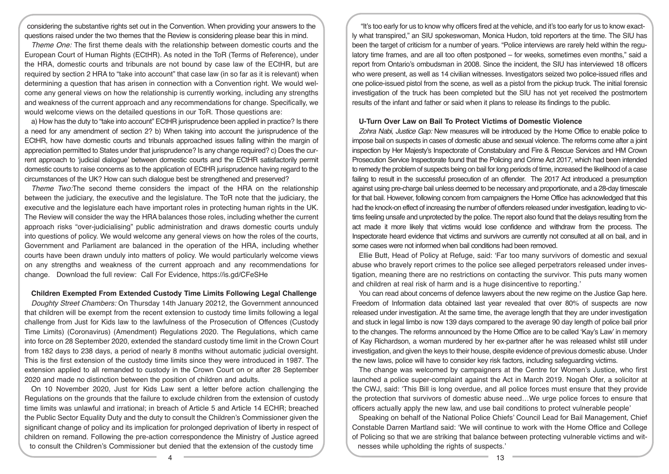considering the substantive rights set out in the Convention. When providing your answers to the questions raised under the two themes that the Review is considering please bear this in mind.

*Theme One:* The first theme deals with the relationship between domestic courts and the European Court of Human Rights (ECtHR). As noted in the ToR (Terms of Reference), under the HRA, domestic courts and tribunals are not bound by case law of the ECtHR, but are required by section 2 HRA to "take into account" that case law (in so far as it is relevant) when determining a question that has arisen in connection with a Convention right. We would welcome any general views on how the relationship is currently working, including any strengths and weakness of the current approach and any recommendations for change. Specifically, we would welcome views on the detailed questions in our ToR. Those questions are:

a) How has the duty to "take into account" ECtHR jurisprudence been applied in practice? Is there a need for any amendment of section 2? b) When taking into account the jurisprudence of the ECtHR, how have domestic courts and tribunals approached issues falling within the margin of appreciation permitted to States under that jurisprudence? Is any change required? c) Does the current approach to 'judicial dialogue' between domestic courts and the ECtHR satisfactorily permit domestic courts to raise concerns as to the application of ECtHR jurisprudence having regard to the circumstances of the UK? How can such dialogue best be strengthened and preserved?

*Theme Two:*The second theme considers the impact of the HRA on the relationship between the judiciary, the executive and the legislature. The ToR note that the judiciary, the executive and the legislature each have important roles in protecting human rights in the UK. The Review will consider the way the HRA balances those roles, including whether the current approach risks "over-judicialising" public administration and draws domestic courts unduly into questions of policy. We would welcome any general views on how the roles of the courts, Government and Parliament are balanced in the operation of the HRA, including whether courts have been drawn unduly into matters of policy. We would particularly welcome views on any strengths and weakness of the current approach and any recommendations for change. Download the full review: Call For Evidence, https://is.gd/CFeSHe

## **Children Exempted From Extended Custody Time Limits Following Legal Challenge**

*Doughty Street Chambers:* On Thursday 14th January 20212, the Government announced that children will be exempt from the recent extension to custody time limits following a legal challenge from Just for Kids law to the lawfulness of the Prosecution of Offences (Custody Time Limits) (Coronavirus) (Amendment) Regulations 2020. The Regulations, which came into force on 28 September 2020, extended the standard custody time limit in the Crown Court from 182 days to 238 days, a period of nearly 8 months without automatic judicial oversight. This is the first extension of the custody time limits since they were introduced in 1987. The extension applied to all remanded to custody in the Crown Court on or after 28 September 2020 and made no distinction between the position of children and adults.

On 10 November 2020, Just for Kids Law sent a letter before action challenging the Regulations on the grounds that the failure to exclude children from the extension of custody time limits was unlawful and irrational; in breach of Article 5 and Article 14 ECHR; breached the Public Sector Equality Duty and the duty to consult the Children's Commissioner given the significant change of policy and its implication for prolonged deprivation of liberty in respect of children on remand. Following the pre-action correspondence the Ministry of Justice agreed to consult the Children's Commissioner but denied that the extension of the custody time

"It's too early for us to know why officers fired at the vehicle, and it's too early for us to know exactly what transpired," an SIU spokeswoman, Monica Hudon, told reporters at the time. The SIU has been the target of criticism for a number of years. "Police interviews are rarely held within the regulatory time frames, and are all too often postponed – for weeks, sometimes even months," said a report from Ontario's ombudsman in 2008. Since the incident, the SIU has interviewed 18 officers who were present, as well as 14 civilian witnesses. Investigators seized two police-issued rifles and one police-issued pistol from the scene, as well as a pistol from the pickup truck. The initial forensic investigation of the truck has been completed but the SIU has not yet received the postmortem results of the infant and father or said when it plans to release its findings to the public.

## **U-Turn Over Law on Bail To Protect Victims of Domestic Violence**

*Zohra Nabi, Justice Gap:* New measures will be introduced by the Home Office to enable police to impose bail on suspects in cases of domestic abuse and sexual violence. The reforms come after a joint inspection by Her Majesty's Inspectorate of Constabulary and Fire & Rescue Services and HM Crown Prosecution Service Inspectorate found that the Policing and Crime Act 2017, which had been intended to remedy the problem of suspects being on bail for long periods of time, increased the likelihood of a case failing to result in the successful prosecution of an offender. The 2017 Act introduced a presumption against using pre-charge bail unless deemed to be necessary and proportionate, and a 28-day timescale for that bail. However, following concern from campaigners the Home Office has acknowledged that this had the knock-on effect of increasing the number of offenders released under investigation, leading to victims feeling unsafe and unprotected by the police. The report also found that the delays resulting from the act made it more likely that victims would lose confidence and withdraw from the process. The Inspectorate heard evidence that victims and survivors are currently not consulted at all on bail, and in some cases were not informed when bail conditions had been removed.

Ellie Butt, Head of Policy at Refuge, said: 'Far too many survivors of domestic and sexual abuse who bravely report crimes to the police see alleged perpetrators released under investigation, meaning there are no restrictions on contacting the survivor. This puts many women and children at real risk of harm and is a huge disincentive to reporting.'

You can read about concerns of defence lawyers about the new regime on the Justice Gap here. Freedom of Information data obtained last year revealed that over 80% of suspects are now released under investigation. At the same time, the average length that they are under investigation and stuck in legal limbo is now 139 days compared to the average 90 day length of police bail prior to the changes. The reforms announced by the Home Office are to be called 'Kay's Law' in memory of Kay Richardson, a woman murdered by her ex-partner after he was released whilst still under investigation, and given the keys to their house, despite evidence of previous domestic abuse. Under the new laws, police will have to consider key risk factors, including safeguarding victims.

The change was welcomed by campaigners at the Centre for Women's Justice, who first launched a police super-complaint against the Act in March 2019. Nogah Ofer, a solicitor at the CWJ, said: 'This Bill is long overdue, and all police forces must ensure that they provide the protection that survivors of domestic abuse need…We urge police forces to ensure that officers actually apply the new law, and use bail conditions to protect vulnerable people'

Speaking on behalf of the National Police Chiefs' Council Lead for Bail Management, Chief Constable Darren Martland said: 'We will continue to work with the Home Office and College of Policing so that we are striking that balance between protecting vulnerable victims and witnesses while upholding the rights of suspects.'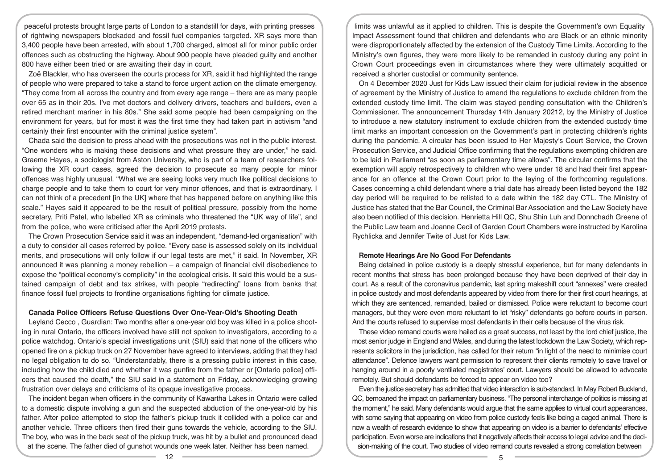peaceful protests brought large parts of London to a standstill for days, with printing presses of rightwing newspapers blockaded and fossil fuel companies targeted. XR says more than 3,400 people have been arrested, with about 1,700 charged, almost all for minor public order offences such as obstructing the highway. About 900 people have pleaded guilty and another 800 have either been tried or are awaiting their day in court.

Zoë Blackler, who has overseen the courts process for XR, said it had highlighted the range of people who were prepared to take a stand to force urgent action on the climate emergency. "They come from all across the country and from every age range – there are as many people over 65 as in their 20s. I've met doctors and delivery drivers, teachers and builders, even a retired merchant mariner in his 80s." She said some people had been campaigning on the environment for years, but for most it was the first time they had taken part in activism "and certainly their first encounter with the criminal justice system".

Chada said the decision to press ahead with the prosecutions was not in the public interest. "One wonders who is making these decisions and what pressure they are under," he said. Graeme Hayes, a sociologist from Aston University, who is part of a team of researchers following the XR court cases, agreed the decision to prosecute so many people for minor offences was highly unusual. "What we are seeing looks very much like political decisions to charge people and to take them to court for very minor offences, and that is extraordinary. I can not think of a precedent [in the UK] where that has happened before on anything like this scale." Hayes said it appeared to be the result of political pressure, possibly from the home secretary, Priti Patel, who labelled XR as criminals who threatened the "UK way of life", and from the police, who were criticised after the April 2019 protests.

The Crown Prosecution Service said it was an independent, "demand-led organisation" with a duty to consider all cases referred by police. "Every case is assessed solely on its individual merits, and prosecutions will only follow if our legal tests are met," it said. In November, XR announced it was planning a money rebellion – a campaign of financial civil disobedience to expose the "political economy's complicity" in the ecological crisis. It said this would be a sustained campaign of debt and tax strikes, with people "redirecting" loans from banks that finance fossil fuel projects to frontline organisations fighting for climate justice.

### **Canada Police Officers Refuse Questions Over One-Year-Old's Shooting Death**

Leyland Cecco , Guardian: Two months after a one-year old boy was killed in a police shooting in rural Ontario, the officers involved have still not spoken to investigators, according to a police watchdog. Ontario's special investigations unit (SIU) said that none of the officers who opened fire on a pickup truck on 27 November have agreed to interviews, adding that they had no legal obligation to do so. "Understandably, there is a pressing public interest in this case, including how the child died and whether it was gunfire from the father or [Ontario police] officers that caused the death," the SIU said in a statement on Friday, acknowledging growing frustration over delays and criticisms of its opaque investigative process.

The incident began when officers in the community of Kawartha Lakes in Ontario were called to a domestic dispute involving a gun and the suspected abduction of the one-year-old by his father. After police attempted to stop the father's pickup truck it collided with a police car and another vehicle. Three officers then fired their guns towards the vehicle, according to the SIU. The boy, who was in the back seat of the pickup truck, was hit by a bullet and pronounced dead at the scene. The father died of gunshot wounds one week later. Neither has been named.

limits was unlawful as it applied to children. This is despite the Government's own Equality Impact Assessment found that children and defendants who are Black or an ethnic minority were disproportionately affected by the extension of the Custody Time Limits. According to the Ministry's own figures, they were more likely to be remanded in custody during any point in Crown Court proceedings even in circumstances where they were ultimately acquitted or received a shorter custodial or community sentence.

On 4 December 2020 Just for Kids Law issued their claim for judicial review in the absence of agreement by the Ministry of Justice to amend the regulations to exclude children from the extended custody time limit. The claim was stayed pending consultation with the Children's Commissioner. The announcement Thursday 14th January 20212, by the Ministry of Justice to introduce a new statutory instrument to exclude children from the extended custody time limit marks an important concession on the Government's part in protecting children's rights during the pandemic. A circular has been issued to Her Majesty's Court Service, the Crown Prosecution Service, and Judicial Office confirming that the regulations exempting children are to be laid in Parliament "as soon as parliamentary time allows". The circular confirms that the exemption will apply retrospectively to children who were under 18 and had their first appearance for an offence at the Crown Court prior to the laying of the forthcoming regulations. Cases concerning a child defendant where a trial date has already been listed beyond the 182 day period will be required to be relisted to a date within the 182 day CTL. The Ministry of Justice has stated that the Bar Council, the Criminal Bar Association and the Law Society have also been notified of this decision. Henrietta Hill QC, Shu Shin Luh and Donnchadh Greene of the Public Law team and Joanne Cecil of Garden Court Chambers were instructed by Karolina Rychlicka and Jennifer Twite of Just for Kids Law.

## **Remote Hearings Are No Good For Defendants**

Being detained in police custody is a deeply stressful experience, but for many defendants in recent months that stress has been prolonged because they have been deprived of their day in court. As a result of the coronavirus pandemic, last spring makeshift court "annexes" were created in police custody and most defendants appeared by video from there for their first court hearings, at which they are sentenced, remanded, bailed or dismissed. Police were reluctant to become court managers, but they were even more reluctant to let "risky" defendants go before courts in person. And the courts refused to supervise most defendants in their cells because of the virus risk.

These video remand courts were hailed as a great success, not least by the lord chief justice, the most senior judge in England and Wales, and during the latest lockdown the Law Society, which represents solicitors in the jurisdiction, has called for their return "in light of the need to minimise court attendance". Defence lawyers want permission to represent their clients remotely to save travel or hanging around in a poorly ventilated magistrates' court. Lawyers should be allowed to advocate remotely. But should defendants be forced to appear on video too?

Even the justice secretary has admitted that video interaction is sub-standard. In May Robert Buckland, QC, bemoaned the impact on parliamentary business. "The personal interchange of politics is missing at the moment," he said. Many defendants would argue that the same applies to virtual court appearances, with some saying that appearing on video from police custody feels like being a caged animal. There is now a wealth of research evidence to show that appearing on video is a barrier to defendants' effective participation. Even worse are indications that it negatively affects their access to legal advice and the decision-making of the court. Two studies of video remand courts revealed a strong correlation between

12 5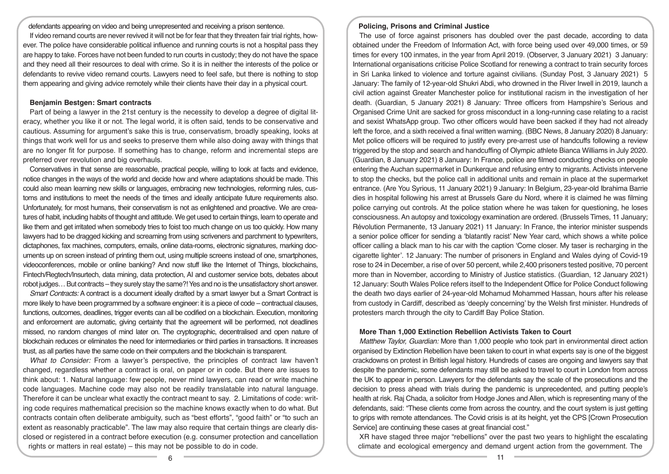defendants appearing on video and being unrepresented and receiving a prison sentence. If video remand courts are never revived it will not be for fear that they threaten fair trial rights, however. The police have considerable political influence and running courts is not a hospital pass they are happy to take. Forces have not been funded to run courts in custody; they do not have the space and they need all their resources to deal with crime. So it is in neither the interests of the police or defendants to revive video remand courts. Lawyers need to feel safe, but there is nothing to stop them appearing and giving advice remotely while their clients have their day in a physical court.

# **Benjamin Bestgen: Smart contracts**

Part of being a lawyer in the 21st century is the necessity to develop a degree of digital literacy, whether you like it or not. The legal world, it is often said, tends to be conservative and cautious. Assuming for argument's sake this is true, conservatism, broadly speaking, looks at things that work well for us and seeks to preserve them while also doing away with things that are no longer fit for purpose. If something has to change, reform and incremental steps are preferred over revolution and big overhauls.

Conservatives in that sense are reasonable, practical people, willing to look at facts and evidence, notice changes in the ways of the world and decide how and where adaptations should be made. This could also mean learning new skills or languages, embracing new technologies, reforming rules, customs and institutions to meet the needs of the times and ideally anticipate future requirements also. Unfortunately, for most humans, their conservatism is not as enlightened and proactive. We are creatures of habit, including habits of thought and attitude. We get used to certain things, learn to operate and like them and get irritated when somebody tries to foist too much change on us too quickly. How many lawyers had to be dragged kicking and screaming from using scriveners and parchment to typewriters, dictaphones, fax machines, computers, emails, online data-rooms, electronic signatures, marking documents up on screen instead of printing them out, using multiple screens instead of one, smartphones, videoconferences, mobile or online banking? And now stuff like the Internet of Things, blockchains, Fintech/Regtech/Insurtech, data mining, data protection, AI and customer service bots, debates about robot judges… But contracts – they surely stay the same?! Yes and no is the unsatisfactory short answer.

*Smart Contracts:* A contract is a document ideally drafted by a smart lawyer but a Smart Contract is more likely to have been programmed by a software engineer: it is a piece of code – contractual clauses, functions, outcomes, deadlines, trigger events can all be codified on a blockchain. Execution, monitoring and enforcement are automatic, giving certainty that the agreement will be performed, not deadlines missed, no random changes of mind later on. The cryptographic, decentralised and open nature of blockchain reduces or eliminates the need for intermediaries or third parties in transactions. It increases trust, as all parties have the same code on their computers and the blockchain is transparent.

*What to Consider:* From a lawyer's perspective, the principles of contract law haven't changed, regardless whether a contract is oral, on paper or in code. But there are issues to think about: 1. Natural language: few people, never mind lawyers, can read or write machine code languages. Machine code may also not be readily translatable into natural language. Therefore it can be unclear what exactly the contract meant to say. 2. Limitations of code: writing code requires mathematical precision so the machine knows exactly when to do what. But contracts contain often deliberate ambiguity, such as "best efforts", "good faith" or "to such an extent as reasonably practicable". The law may also require that certain things are clearly disclosed or registered in a contract before execution (e.g. consumer protection and cancellation rights or matters in real estate) – this may not be possible to do in code.

# **Policing, Prisons and Criminal Justice**

The use of force against prisoners has doubled over the past decade, according to data obtained under the Freedom of Information Act, with force being used over 49,000 times, or 59 times for every 100 inmates, in the year from April 2019. (Observer, 3 January 2021) 3 January: International organisations criticise Police Scotland for renewing a contract to train security forces in Sri Lanka linked to violence and torture against civilians. (Sunday Post, 3 January 2021) 5 January: The family of 12-year-old Shukri Abdi, who drowned in the River Irwell in 2019, launch a civil action against Greater Manchester police for institutional racism in the investigation of her death. (Guardian, 5 January 2021) 8 January: Three officers from Hampshire's Serious and Organised Crime Unit are sacked for gross misconduct in a long-running case relating to a racist and sexist WhatsApp group. Two other officers would have been sacked if they had not already left the force, and a sixth received a final written warning. (BBC News, 8 January 2020) 8 January: Met police officers will be required to justify every pre-arrest use of handcuffs following a review triggered by the stop and search and handcuffing of Olympic athlete Bianca Williams in July 2020. (Guardian, 8 January 2021) 8 January: In France, police are filmed conducting checks on people entering the Auchan supermarket in Dunkerque and refusing entry to migrants. Activists intervene to stop the checks, but the police call in additional units and remain in place at the supermarket entrance. (Are You Syrious, 11 January 2021) 9 January: In Belgium, 23-year-old Ibrahima Barrie dies in hospital following his arrest at Brussels Gare du Nord, where it is claimed he was filming police carrying out controls. At the police station where he was taken for questioning, he loses consciousness. An autopsy and toxicology examination are ordered. (Brussels Times, 11 January; Révolution Permanente, 13 January 2021) 11 January: In France, the interior minister suspends a senior police officer for sending a 'blatantly racist' New Year card, which shows a white police officer calling a black man to his car with the caption 'Come closer. My taser is recharging in the cigarette lighter'. 12 January: The number of prisoners in England and Wales dying of Covid-19 rose to 24 in December, a rise of over 50 percent, while 2,400 prisoners tested positive, 70 percent more than in November, according to Ministry of Justice statistics. (Guardian, 12 January 2021) 12 January: South Wales Police refers itself to the Independent Office for Police Conduct following the death two days earlier of 24-year-old Mohamud Mohammed Hassan, hours after his release from custody in Cardiff, described as 'deeply concerning' by the Welsh first minister. Hundreds of protesters march through the city to Cardiff Bay Police Station.

#### **More Than 1,000 Extinction Rebellion Activists Taken to Court**

*Matthew Taylor, Guardian:* More than 1,000 people who took part in environmental direct action organised by Extinction Rebellion have been taken to court in what experts say is one of the biggest crackdowns on protest in British legal history. Hundreds of cases are ongoing and lawyers say that despite the pandemic, some defendants may still be asked to travel to court in London from across the UK to appear in person. Lawyers for the defendants say the scale of the prosecutions and the decision to press ahead with trials during the pandemic is unprecedented, and putting people's health at risk. Raj Chada, a solicitor from Hodge Jones and Allen, which is representing many of the defendants, said: "These clients come from across the country, and the court system is just getting to grips with remote attendances. The Covid crisis is at its height, yet the CPS [Crown Prosecution Service] are continuing these cases at great financial cost."

XR have staged three major "rebellions" over the past two years to highlight the escalating climate and ecological emergency and demand urgent action from the government. The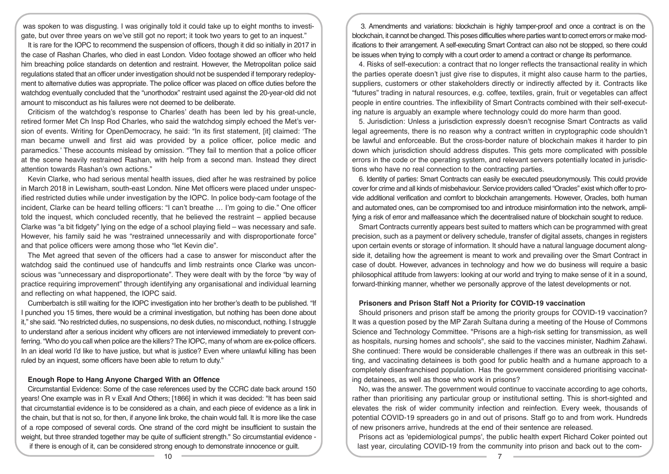was spoken to was disgusting. I was originally told it could take up to eight months to investigate, but over three years on we've still got no report; it took two years to get to an inquest."

It is rare for the IOPC to recommend the suspension of officers, though it did so initially in 2017 in the case of Rashan Charles, who died in east London. Video footage showed an officer who held him breaching police standards on detention and restraint. However, the Metropolitan police said regulations stated that an officer under investigation should not be suspended if temporary redeployment to alternative duties was appropriate. The police officer was placed on office duties before the watchdog eventually concluded that the "unorthodox" restraint used against the 20-year-old did not amount to misconduct as his failures were not deemed to be deliberate.

Criticism of the watchdog's response to Charles' death has been led by his great-uncle, retired former Met Ch Insp Rod Charles, who said the watchdog simply echoed the Met's version of events. Writing for OpenDemocracy, he said: "In its first statement, [it] claimed: 'The man became unwell and first aid was provided by a police officer, police medic and paramedics.' These accounts mislead by omission. "They fail to mention that a police officer at the scene heavily restrained Rashan, with help from a second man. Instead they direct attention towards Rashan's own actions."

Kevin Clarke, who had serious mental health issues, died after he was restrained by police in March 2018 in Lewisham, south-east London. Nine Met officers were placed under unspecified restricted duties while under investigation by the IOPC. In police body-cam footage of the incident, Clarke can be heard telling officers: "I can't breathe … I'm going to die." One officer told the inquest, which concluded recently, that he believed the restraint – applied because Clarke was "a bit fidgety" lying on the edge of a school playing field – was necessary and safe. However, his family said he was "restrained unnecessarily and with disproportionate force" and that police officers were among those who "let Kevin die".

The Met agreed that seven of the officers had a case to answer for misconduct after the watchdog said the continued use of handcuffs and limb restraints once Clarke was unconscious was "unnecessary and disproportionate". They were dealt with by the force "by way of practice requiring improvement" through identifying any organisational and individual learning and reflecting on what happened, the IOPC said.

Cumberbatch is still waiting for the IOPC investigation into her brother's death to be published. "If I punched you 15 times, there would be a criminal investigation, but nothing has been done about it," she said. "No restricted duties, no suspensions, no desk duties, no misconduct, nothing. I struggle to understand after a serious incident why officers are not interviewed immediately to prevent conferring. "Who do you call when police are the killers? The IOPC, many of whom are ex-police officers. In an ideal world I'd like to have justice, but what is justice? Even where unlawful killing has been ruled by an inquest, some officers have been able to return to duty."

#### **Enough Rope to Hang Anyone Charged With an Offence**

Circumstantial Evidence: Some of the case references used by the CCRC date back around 150 years! One example was in R v Exall And Others; [1866] in which it was decided: "It has been said that circumstantial evidence is to be considered as a chain, and each piece of evidence as a link in the chain, but that is not so, for then, if anyone link broke, the chain would fall. It is more like the case of a rope composed of several cords. One strand of the cord might be insufficient to sustain the weight, but three stranded together may be quite of sufficient strength." So circumstantial evidence -

if there is enough of it, can be considered strong enough to demonstrate innocence or guilt.

3. Amendments and variations: blockchain is highly tamper-proof and once a contract is on the blockchain, it cannot be changed. This poses difficulties where parties want to correct errors or make modifications to their arrangement. A self-executing Smart Contract can also not be stopped, so there could be issues when trying to comply with a court order to amend a contract or change its performance.

4. Risks of self-execution: a contract that no longer reflects the transactional reality in which the parties operate doesn't just give rise to disputes, it might also cause harm to the parties, suppliers, customers or other stakeholders directly or indirectly affected by it. Contracts like "futures" trading in natural resources, e.g. coffee, textiles, grain, fruit or vegetables can affect people in entire countries. The inflexibility of Smart Contracts combined with their self-executing nature is arguably an example where technology could do more harm than good.

5. Jurisdiction: Unless a jurisdiction expressly doesn't recognise Smart Contracts as valid legal agreements, there is no reason why a contract written in cryptographic code shouldn't be lawful and enforceable. But the cross-border nature of blockchain makes it harder to pin down which jurisdiction should address disputes. This gets more complicated with possible errors in the code or the operating system, and relevant servers potentially located in jurisdictions who have no real connection to the contracting parties.

6. Identity of parties: Smart Contracts can easily be executed pseudonymously. This could provide cover for crime and all kinds of misbehaviour. Service providers called "Oracles" exist which offer to provide additional verification and comfort to blockchain arrangements. However, Oracles, both human and automated ones, can be compromised too and introduce misinformation into the network, amplifying a risk of error and malfeasance which the decentralised nature of blockchain sought to reduce.

Smart Contracts currently appears best suited to matters which can be programmed with great precision, such as a payment or delivery schedule, transfer of digital assets, changes in registers upon certain events or storage of information. It should have a natural language document alongside it, detailing how the agreement is meant to work and prevailing over the Smart Contract in case of doubt. However, advances in technology and how we do business will require a basic philosophical attitude from lawyers: looking at our world and trying to make sense of it in a sound, forward-thinking manner, whether we personally approve of the latest developments or not.

## **Prisoners and Prison Staff Not a Priority for COVID-19 vaccination**

Should prisoners and prison staff be among the priority groups for COVID-19 vaccination? It was a question posed by the MP Zarah Sultana during a meeting of the House of Commons Science and Technology Committee. "Prisons are a high-risk setting for transmission, as well as hospitals, nursing homes and schools", she said to the vaccines minister, Nadhim Zahawi. She continued: There would be considerable challenges if there was an outbreak in this setting, and vaccinating detainees is both good for public health and a humane approach to a completely disenfranchised population. Has the government considered prioritising vaccinating detainees, as well as those who work in prisons?

No, was the answer. The government would continue to vaccinate according to age cohorts, rather than prioritising any particular group or institutional setting. This is short-sighted and elevates the risk of wider community infection and reinfection. Every week, thousands of potential COVID-19 spreaders go in and out of prisons. Staff go to and from work. Hundreds of new prisoners arrive, hundreds at the end of their sentence are released.

Prisons act as 'epidemiological pumps', the public health expert Richard Coker pointed out last year, circulating COVID-19 from the community into prison and back out to the com-